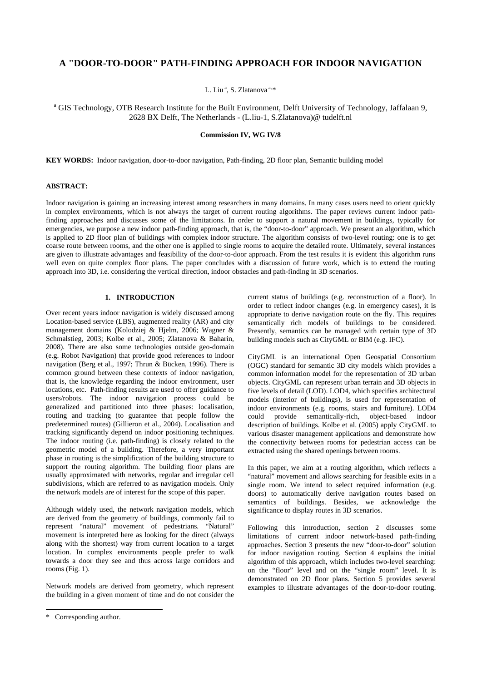# **A "DOOR-TO-DOOR" PATH-FINDING APPROACH FOR INDOOR NAVIGATION**

L. Liu<sup>a</sup>, S. Zlatanova<sup>a,[\\*](#page-0-0)</sup>

<sup>a</sup> GIS Technology, OTB Research Institute for the Built Environment, Delft University of Technology, Jaffalaan 9, 2628 BX Delft, The Netherlands - (L.liu-1, S.Zlatanova)@ tudelft.nl

### **Commission IV, WG IV/8**

**KEY WORDS:** Indoor navigation, door-to-door navigation, Path-finding, 2D floor plan, Semantic building model

## **ABSTRACT:**

Indoor navigation is gaining an increasing interest among researchers in many domains. In many cases users need to orient quickly in complex environments, which is not always the target of current routing algorithms. The paper reviews current indoor pathfinding approaches and discusses some of the limitations. In order to support a natural movement in buildings, typically for emergencies, we purpose a new indoor path-finding approach, that is, the "door-to-door" approach. We present an algorithm, which is applied to 2D floor plan of buildings with complex indoor structure. The algorithm consists of two-level routing: one is to get coarse route between rooms, and the other one is applied to single rooms to acquire the detailed route. Ultimately, several instances are given to illustrate advantages and feasibility of the door-to-door approach. From the test results it is evident this algorithm runs well even on quite complex floor plans. The paper concludes with a discussion of future work, which is to extend the routing approach into 3D, i.e. considering the vertical direction, indoor obstacles and path-finding in 3D scenarios.

# **1. INTRODUCTION**

Over recent years indoor navigation is widely discussed among Location-based service (LBS), augmented reality (AR) and city management domains (Kolodziej & Hjelm, 2006; Wagner & Schmalstieg, 2003; Kolbe et al., 2005; Zlatanova & Baharin, 2008). There are also some technologies outside geo-domain (e.g. Robot Navigation) that provide good references to indoor navigation (Berg et al., 1997; Thrun & Bücken, 1996). There is common ground between these contexts of indoor navigation, that is, the knowledge regarding the indoor environment, user locations, etc. Path-finding results are used to offer guidance to users/robots. The indoor navigation process could be generalized and partitioned into three phases: localisation, routing and tracking (to guarantee that people follow the predetermined routes) (Gillieron et al., 2004). Localisation and tracking significantly depend on indoor positioning techniques. The indoor routing (i.e. path-finding) is closely related to the geometric model of a building. Therefore, a very important phase in routing is the simplification of the building structure to support the routing algorithm. The building floor plans are usually approximated with networks, regular and irregular cell subdivisions, which are referred to as navigation models. Only the network models are of interest for the scope of this paper.

Although widely used, the network navigation models, which are derived from the geometry of buildings, commonly fail to represent "natural" movement of pedestrians. "Natural" movement is interpreted here as looking for the direct (always along with the shortest) way from current location to a target location. In complex environments people prefer to walk towards a door they see and thus across large corridors and rooms (Fig. 1).

Network models are derived from geometry, which represent the building in a given moment of time and do not consider the

l

current status of buildings (e.g. reconstruction of a floor). In order to reflect indoor changes (e.g. in emergency cases), it is appropriate to derive navigation route on the fly. This requires semantically rich models of buildings to be considered. Presently, semantics can be managed with certain type of 3D building models such as CityGML or BIM (e.g. IFC).

CityGML is an international Open Geospatial Consortium (OGC) standard for semantic 3D city models which provides a common information model for the representation of 3D urban objects. CityGML can represent urban terrain and 3D objects in five levels of detail (LOD). LOD4, which specifies architectural models (interior of buildings), is used for representation of indoor environments (e.g. rooms, stairs and furniture). LOD4 could provide semantically-rich, object-based indoor description of buildings. Kolbe et al. (2005) apply CityGML to various disaster management applications and demonstrate how the connectivity between rooms for pedestrian access can be extracted using the shared openings between rooms.

In this paper, we aim at a routing algorithm, which reflects a "natural" movement and allows searching for feasible exits in a single room. We intend to select required information (e.g. doors) to automatically derive navigation routes based on semantics of buildings. Besides, we acknowledge the significance to display routes in 3D scenarios.

Following this introduction, section 2 discusses some limitations of current indoor network-based path-finding approaches. Section 3 presents the new "door-to-door" solution for indoor navigation routing. Section 4 explains the initial algorithm of this approach, which includes two-level searching: on the "floor" level and on the "single room" level. It is demonstrated on 2D floor plans. Section 5 provides several examples to illustrate advantages of the door-to-door routing.

<span id="page-0-0"></span><sup>\*</sup> Corresponding author.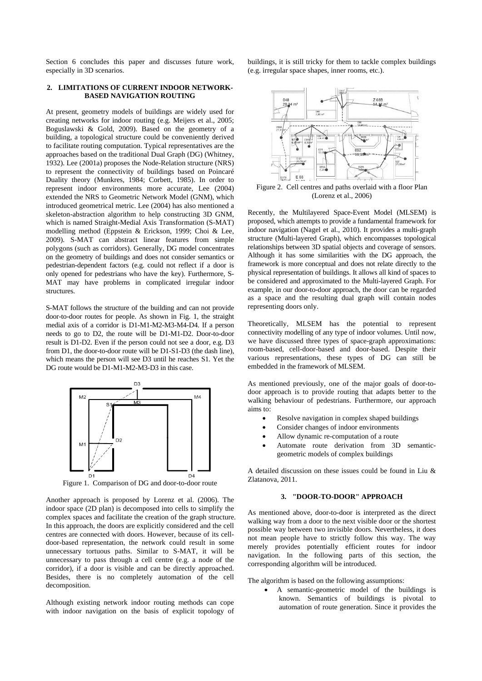Section 6 concludes this paper and discusses future work, especially in 3D scenarios.

### **2. LIMITATIONS OF CURRENT INDOOR NETWORK-BASED NAVIGATION ROUTING**

At present, geometry models of buildings are widely used for creating networks for indoor routing (e.g. Meijers et al., 2005; Boguslawski & Gold, 2009). Based on the geometry of a building, a topological structure could be conveniently derived to facilitate routing computation. Typical representatives are the approaches based on the traditional Dual Graph (DG) (Whitney, 1932). Lee (2001a) proposes the Node-Relation structure (NRS) to represent the connectivity of buildings based on Poincaré Duality theory (Munkres, 1984; Corbett, 1985). In order to represent indoor environments more accurate, Lee (2004) extended the NRS to Geometric Network Model (GNM), which introduced geometrical metric. Lee (2004) has also mentioned a skeleton-abstraction algorithm to help constructing 3D GNM, which is named Straight-Medial Axis Transformation (S-MAT) modelling method (Eppstein & Erickson, 1999; Choi & Lee, 2009). S-MAT can abstract linear features from simple polygons (such as corridors). Generally, DG model concentrates on the geometry of buildings and does not consider semantics or pedestrian-dependent factors (e.g. could not reflect if a door is only opened for pedestrians who have the key). Furthermore, S-MAT may have problems in complicated irregular indoor structures.

S-MAT follows the structure of the building and can not provide door-to-door routes for people. As shown in Fig. 1, the straight medial axis of a corridor is D1-M1-M2-M3-M4-D4. If a person needs to go to D2, the route will be D1-M1-D2. Door-to-door result is D1-D2. Even if the person could not see a door, e.g. D3 from D1, the door-to-door route will be D1-S1-D3 (the dash line), which means the person will see D3 until he reaches S1. Yet the DG route would be D1-M1-M2-M3-D3 in this case.



Figure 1. Comparison of DG and door-to-door route

Another approach is proposed by Lorenz et al. (2006). The indoor space (2D plan) is decomposed into cells to simplify the complex spaces and facilitate the creation of the graph structure. In this approach, the doors are explicitly considered and the cell centres are connected with doors. However, because of its celldoor-based representation, the network could result in some unnecessary tortuous paths. Similar to S-MAT, it will be unnecessary to pass through a cell centre (e.g. a node of the corridor), if a door is visible and can be directly approached. Besides, there is no completely automation of the cell decomposition.

Although existing network indoor routing methods can cope with indoor navigation on the basis of explicit topology of buildings, it is still tricky for them to tackle complex buildings (e.g. irregular space shapes, inner rooms, etc.).



Figure 2. Cell centres and paths overlaid with a floor Plan (Lorenz et al., 2006)

Recently, the Multilayered Space-Event Model (MLSEM) is proposed, which attempts to provide a fundamental framework for indoor navigation (Nagel et al., 2010). It provides a multi-graph structure (Multi-layered Graph), which encompasses topological relationships between 3D spatial objects and coverage of sensors. Although it has some similarities with the DG approach, the framework is more conceptual and does not relate directly to the physical representation of buildings. It allows all kind of spaces to be considered and approximated to the Multi-layered Graph. For example, in our door-to-door approach, the door can be regarded as a space and the resulting dual graph will contain nodes representing doors only.

Theoretically, MLSEM has the potential to represent connectivity modelling of any type of indoor volumes. Until now, we have discussed three types of space-graph approximations: room-based, cell-door-based and door-based. Despite their various representations, these types of DG can still be embedded in the framework of MLSEM.

As mentioned previously, one of the major goals of door-todoor approach is to provide routing that adapts better to the walking behaviour of pedestrians. Furthermore, our approach aims to:

- Resolve navigation in complex shaped buildings
- Consider changes of indoor environments
- Allow dynamic re-computation of a route
- Automate route derivation from 3D semanticgeometric models of complex buildings

A detailed discussion on these issues could be found in Liu & Zlatanova, 2011.

#### **3. "DOOR-TO-DOOR" APPROACH**

As mentioned above, door-to-door is interpreted as the direct walking way from a door to the next visible door or the shortest possible way between two invisible doors. Nevertheless, it does not mean people have to strictly follow this way. The way merely provides potentially efficient routes for indoor navigation. In the following parts of this section, the corresponding algorithm will be introduced.

The algorithm is based on the following assumptions:

 A semantic-geometric model of the buildings is known. Semantics of buildings is pivotal to automation of route generation. Since it provides the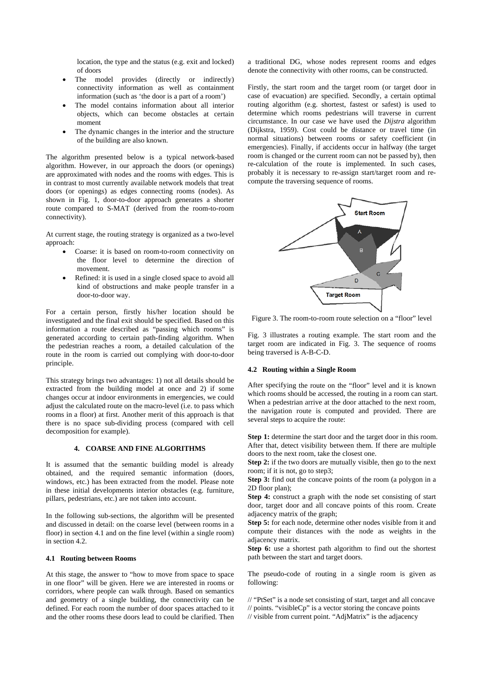location, the type and the status (e.g. exit and locked) of doors

- The model provides (directly or indirectly) connectivity information as well as containment information (such as 'the door is a part of a room')
- The model contains information about all interior objects, which can become obstacles at certain moment
- The dynamic changes in the interior and the structure of the building are also known.

The algorithm presented below is a typical network-based algorithm. However, in our approach the doors (or openings) are approximated with nodes and the rooms with edges. This is in contrast to most currently available network models that treat doors (or openings) as edges connecting rooms (nodes). As shown in Fig. 1, door-to-door approach generates a shorter route compared to S-MAT (derived from the room-to-room connectivity).

At current stage, the routing strategy is organized as a two-level approach:

- Coarse: it is based on room-to-room connectivity on the floor level to determine the direction of movement.
- Refined: it is used in a single closed space to avoid all kind of obstructions and make people transfer in a door-to-door way.

For a certain person, firstly his/her location should be investigated and the final exit should be specified. Based on this information a route described as "passing which rooms" is generated according to certain path-finding algorithm. When the pedestrian reaches a room, a detailed calculation of the route in the room is carried out complying with door-to-door principle.

This strategy brings two advantages: 1) not all details should be extracted from the building model at once and 2) if some changes occur at indoor environments in emergencies, we could adjust the calculated route on the macro-level (i.e. to pass which rooms in a floor) at first. Another merit of this approach is that there is no space sub-dividing process (compared with cell decomposition for example).

## **4. COARSE AND FINE ALGORITHMS**

It is assumed that the semantic building model is already obtained, and the required semantic information (doors, windows, etc.) has been extracted from the model. Please note in these initial developments interior obstacles (e.g. furniture, pillars, pedestrians, etc.) are not taken into account.

In the following sub-sections, the algorithm will be presented and discussed in detail: on the coarse level (between rooms in a floor) in section 4.1 and on the fine level (within a single room) in section 4.2.

# **4.1 Routing between Rooms**

At this stage, the answer to "how to move from space to space in one floor" will be given. Here we are interested in rooms or corridors, where people can walk through. Based on semantics and geometry of a single building, the connectivity can be defined. For each room the number of door spaces attached to it and the other rooms these doors lead to could be clarified. Then a traditional DG, whose nodes represent rooms and edges denote the connectivity with other rooms, can be constructed.

Firstly, the start room and the target room (or target door in case of evacuation) are specified. Secondly, a certain optimal routing algorithm (e.g. shortest, fastest or safest) is used to determine which rooms pedestrians will traverse in current circumstance. In our case we have used the *Dijstra* algorithm (Dijkstra, 1959). Cost could be distance or travel time (in normal situations) between rooms or safety coefficient (in emergencies). Finally, if accidents occur in halfway (the target room is changed or the current room can not be passed by), then re-calculation of the route is implemented. In such cases, probably it is necessary to re-assign start/target room and recompute the traversing sequence of rooms.



Figure 3. The room-to-room route selection on a "floor" level

Fig. 3 illustrates a routing example. The start room and the target room are indicated in Fig. 3. The sequence of rooms being traversed is A-B-C-D.

### **4.2 Routing within a Single Room**

After specifying the route on the "floor" level and it is known which rooms should be accessed, the routing in a room can start. When a pedestrian arrive at the door attached to the next room, the navigation route is computed and provided. There are several steps to acquire the route:

**Step 1:** determine the start door and the target door in this room. After that, detect visibility between them. If there are multiple doors to the next room, take the closest one.

**Step 2:** if the two doors are mutually visible, then go to the next room; if it is not, go to step3;

**Step 3:** find out the concave points of the room (a polygon in a 2D floor plan);

**Step 4:** construct a graph with the node set consisting of start door, target door and all concave points of this room. Create adjacency matrix of the graph;

**Step 5:** for each node, determine other nodes visible from it and compute their distances with the node as weights in the adjacency matrix.

**Step 6:** use a shortest path algorithm to find out the shortest path between the start and target doors.

The pseudo-code of routing in a single room is given as following:

- // "PtSet" is a node set consisting of start, target and all concave
- // points. "visibleCp" is a vector storing the concave points
- // visible from current point. "AdjMatrix" is the adjacency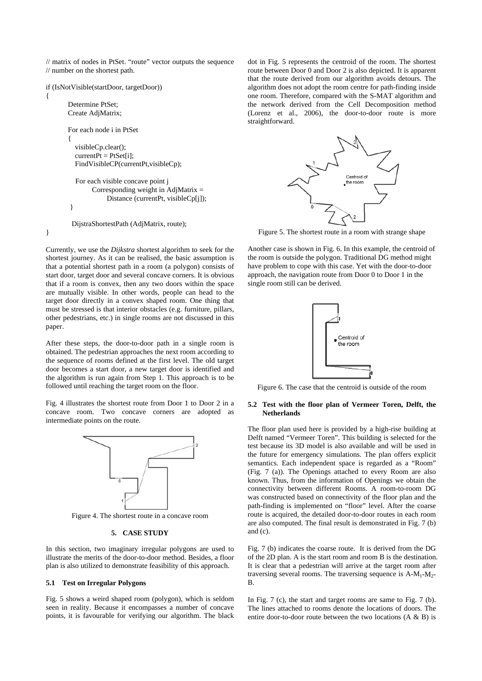// matrix of nodes in PtSet. "route" vector outputs the sequence // number on the shortest path.

if (IsNotVisible(startDoor, targetDoor))

 Determine PtSet; Create AdjMatrix; For each node i in PtSet  $\{$  visibleCp.clear();  $currentPt = PtSet[i];$  FindVisibleCP(currentPt,visibleCp); For each visible concave point j Corresponding weight in AdjMatrix  $=$  Distance (currentPt, visibleCp[j]); } DijstraShortestPath (AdjMatrix, route);

}

{

Currently, we use the *Dijkstra* shortest algorithm to seek for the shortest journey. As it can be realised, the basic assumption is that a potential shortest path in a room (a polygon) consists of start door, target door and several concave corners. It is obvious that if a room is convex, then any two doors within the space are mutually visible. In other words, people can head to the target door directly in a convex shaped room. One thing that must be stressed is that interior obstacles (e.g. furniture, pillars, other pedestrians, etc.) in single rooms are not discussed in this paper.

After these steps, the door-to-door path in a single room is obtained. The pedestrian approaches the next room according to the sequence of rooms defined at the first level. The old target door becomes a start door, a new target door is identified and the algorithm is run again from Step 1. This approach is to be followed until reaching the target room on the floor.

Fig. 4 illustrates the shortest route from Door 1 to Door 2 in a concave room. Two concave corners are adopted as intermediate points on the route.



Figure 4. The shortest route in a concave room

### **5. CASE STUDY**

In this section, two imaginary irregular polygons are used to illustrate the merits of the door-to-door method. Besides, a floor plan is also utilized to demonstrate feasibility of this approach.

## **5.1 Test on Irregular Polygons**

Fig. 5 shows a weird shaped room (polygon), which is seldom seen in reality. Because it encompasses a number of concave points, it is favourable for verifying our algorithm. The black dot in Fig. 5 represents the centroid of the room. The shortest route between Door 0 and Door 2 is also depicted. It is apparent that the route derived from our algorithm avoids detours. The algorithm does not adopt the room centre for path-finding inside one room. Therefore, compared with the S-MAT algorithm and the network derived from the Cell Decomposition method (Lorenz et al., 2006), the door-to-door route is more straightforward.



Figure 5. The shortest route in a room with strange shape

Another case is shown in Fig. 6. In this example, the centroid of the room is outside the polygon. Traditional DG method might have problem to cope with this case. Yet with the door-to-door approach, the navigation route from Door 0 to Door 1 in the single room still can be derived.



Figure 6. The case that the centroid is outside of the room

# **5.2 Test with the floor plan of Vermeer Toren, Delft, the Netherlands**

The floor plan used here is provided by a high-rise building at Delft named "Vermeer Toren". This building is selected for the test because its 3D model is also available and will be used in the future for emergency simulations. The plan offers explicit semantics. Each independent space is regarded as a "Room" (Fig. 7 (a)). The Openings attached to every Room are also known. Thus, from the information of Openings we obtain the connectivity between different Rooms. A room-to-room DG was constructed based on connectivity of the floor plan and the path-finding is implemented on "floor" level. After the coarse route is acquired, the detailed door-to-door routes in each room are also computed. The final result is demonstrated in Fig. 7 (b) and (c).

Fig. 7 (b) indicates the coarse route. It is derived from the DG of the 2D plan. A is the start room and room B is the destination. It is clear that a pedestrian will arrive at the target room after traversing several rooms. The traversing sequence is  $A-M_1-M_2$ -B.

In Fig. 7 (c), the start and target rooms are same to Fig. 7 (b). The lines attached to rooms denote the locations of doors. The entire door-to-door route between the two locations (A & B) is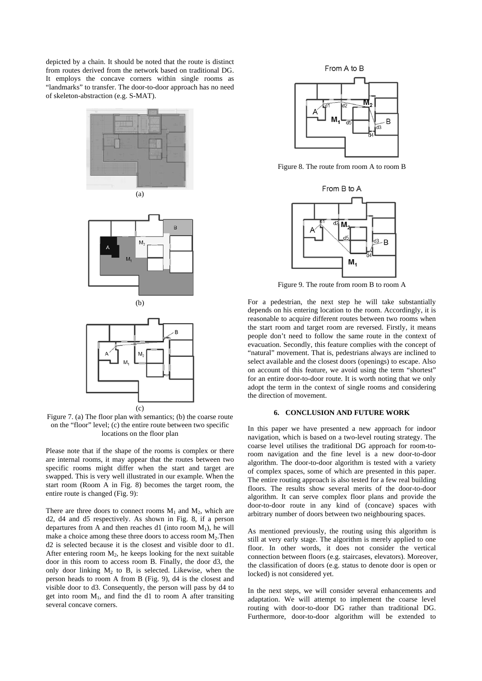depicted by a chain. It should be noted that the route is distinct from routes derived from the network based on traditional DG. It employs the concave corners within single rooms as "landmarks" to transfer. The door-to-door approach has no need of skeleton-abstraction (e.g. S-MAT).









Figure 7. (a) The floor plan with semantics; (b) the coarse route on the "floor" level; (c) the entire route between two specific locations on the floor plan

Please note that if the shape of the rooms is complex or there are internal rooms, it may appear that the routes between two specific rooms might differ when the start and target are swapped. This is very well illustrated in our example. When the start room (Room A in Fig. 8) becomes the target room, the entire route is changed (Fig. 9):

There are three doors to connect rooms  $M_1$  and  $M_2$ , which are d2, d4 and d5 respectively. As shown in Fig. 8, if a person departures from A and then reaches d1 (into room  $M_1$ ), he will make a choice among these three doors to access room  $M_2$ . Then d2 is selected because it is the closest and visible door to d1. After entering room  $M_2$ , he keeps looking for the next suitable door in this room to access room B. Finally, the door d3, the only door linking  $M_2$  to B, is selected. Likewise, when the person heads to room A from B (Fig. 9), d4 is the closest and visible door to d3. Consequently, the person will pass by d4 to get into room  $M_1$ , and find the d1 to room A after transiting several concave corners.



Figure 8. The route from room A to room B



Figure 9. The route from room B to room A

For a pedestrian, the next step he will take substantially depends on his entering location to the room. Accordingly, it is reasonable to acquire different routes between two rooms when the start room and target room are reversed. Firstly, it means people don't need to follow the same route in the context of evacuation. Secondly, this feature complies with the concept of "natural" movement. That is, pedestrians always are inclined to select available and the closest doors (openings) to escape. Also on account of this feature, we avoid using the term "shortest" for an entire door-to-door route. It is worth noting that we only adopt the term in the context of single rooms and considering the direction of movement.

### **6. CONCLUSION AND FUTURE WORK**

In this paper we have presented a new approach for indoor navigation, which is based on a two-level routing strategy. The coarse level utilises the traditional DG approach for room-toroom navigation and the fine level is a new door-to-door algorithm. The door-to-door algorithm is tested with a variety of complex spaces, some of which are presented in this paper. The entire routing approach is also tested for a few real building floors. The results show several merits of the door-to-door algorithm. It can serve complex floor plans and provide the door-to-door route in any kind of (concave) spaces with arbitrary number of doors between two neighbouring spaces.

As mentioned previously, the routing using this algorithm is still at very early stage. The algorithm is merely applied to one floor. In other words, it does not consider the vertical connection between floors (e.g. staircases, elevators). Moreover, the classification of doors (e.g. status to denote door is open or locked) is not considered yet.

In the next steps, we will consider several enhancements and adaptation. We will attempt to implement the coarse level routing with door-to-door DG rather than traditional DG. Furthermore, door-to-door algorithm will be extended to